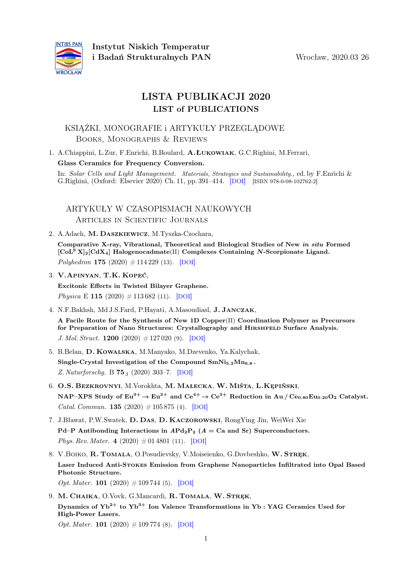

# LISTA PUBLIKACJI 2020 LIST of PUBLICATIONS

### KSIĄŻKI, MONOGRAFIE i ARTYKUŁY PRZEGLĄDOWE Books, Monographs & Reviews

1. A.Chiappini, L.Zur, F.Enrichi, B.Boulard, A.Łukowiak, G.C.Righini, M.Ferrari, Glass Ceramics for Frequency Conversion.

In: Solar Cells and Light Management. Materials, Strategies and Sustainability., ed. by F.Enrichi & G.Righini, (Oxford: Elsevier 2020) Ch. 11, pp. 391–414. [[DOI](https://dx.doi.org/10.1016/B978-0-08-102762-2.00011-2)] [ISBN 978-0-08-102762-2]

ARTYKUŁY W CZASOPISMACH NAUKOWYCH Articles in Scientific Journals

2. A.Adach, M. Daszkiewicz, M.Tyszka-Czochara,

Comparative X-ray, Vibrational, Theoretical and Biological Studies of New in situ Formed  $\left[\text{CoL}^S X\right]_2\left[\text{Cd} X_4\right]$  Halogenocadmate(II) Complexes Containing N-Scorpionate Ligand.  $Poluhedron$  175 (2020)  $\#$  114 229 (13). [[DOI](https://dx.doi.org/10.1016/j.poly.2019.114229)]

- 3. V.Apinyan, T.K. Kopeć, Excitonic Effects in Twisted Bilayer Graphene. Physica E 115 (2020)  $\#$  113 682 (11). [[DOI](https://dx.doi.org/10.1016/j.physe.2019.113682)]
- 4. N.F.Bakhsh, Md J.S.Fard, P.Hayati, A.Masoudiasl, J. Janczak,

A Facile Route for the Synthesis of New 1D Copper(II) Coordination Polymer as Precursors for Preparation of Nano Structures: Crystallography and HIRSHFELD Surface Analysis. J. Mol. Struct. 1200  $(2020)$  # 127 020  $(9)$ . [[DOI](https://dx.doi.org/10.1016/j.molstruc.2019.127020)]

- 5. B.Belan, D. Kowalska, M.Manyako, M.Dzevenko, Ya.Kalychak, Single-Crystal Investigation of the Compound  $SmNi<sub>5.2</sub>Mn<sub>6.8</sub>$ . Z. Naturforschg. B 75<sup>3</sup> (2020) 303–7. [[DOI](https://dx.doi.org/10.1515/znb-2019-0181)]
- 6. O.S. Bezkrovnyi, M.Vorokhta, M. Małecka, W. Miśta, L.Kępiński, NAP–XPS Study of  $Eu^{3+} \to Eu^{2+}$  and  $Ce^{4+} \to Ce^{3+}$  Reduction in Au /  $Ce_{0.80}Eu_{0.20}O_2$  Catalyst. *Catal. Commun.* **135** (2020)  $\# 105 875$  (4). [[DOI](https://dx.doi.org/10.1016/j.catcom.2019.105875)]
- 7. J.Bławat, P.W.Swatek, D. Das, D. Kaczorowski, RongYing Jin, WeiWei Xie Pd–P Antibonding Interactions in  $APd_2P_2$  ( $A = Ca$  and Sr) Superconductors. Phys. Rev. Mater. 4  $(2020) \# 01 4801 (11)$ . [[DOI](https://dx.doi.org/10.1103/PhysRevMaterials.4.014801)]
- 8. V.BOIKO, R. TOMALA, O.Posudievsky, V.Moiseienko, G.Dovbeshko, W. STRĘK, Laser Induced Anti-Stokes Emission from Graphene Nanoparticles Infiltrated into Opal Based Photonic Structure. Opt. Mater. **101** (2020)  $\# 109744$  (5). [[DOI](https://dx.doi.org/10.1016/j.optmat.2020.109744)]
- 9. M. CHAIKA, O.Vovk, G.Mancardi, R. TOMALA, W. STREK, Dynamics of  $Yb^{2+}$  to  $Yb^{3+}$  Ion Valence Transformations in Yb : YAG Ceramics Used for High-Power Lasers.

*Opt. Mater.* **101** (2020)  $\# 109774$  (8). [[DOI](https://dx.doi.org/10.1016/j.optmat.2020.109774)]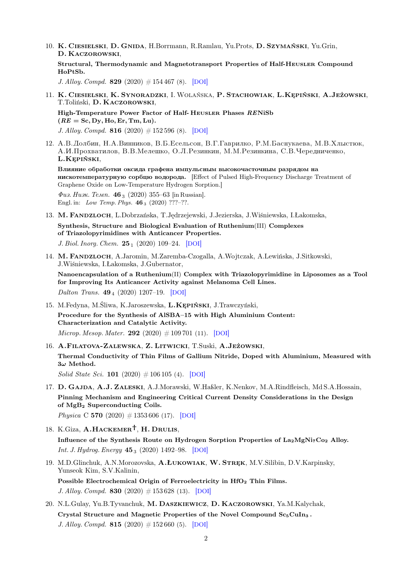10. K. Ciesielski, D. Gnida, H.Borrmann, R.Ramlau, Yu.Prots, D. Szymański, Yu.Grin, D. Kaczorowski,

Structural, Thermodynamic and Magnetotransport Properties of Half-Heusler Compound HoPtSb.

J. Alloy. Compd. 829 (2020)  $\#154\,467$  (8). [[DOI](https://dx.doi.org/10.1016/j.jallcom.2020.154467)]

11. K. Ciesielski, K. Synoradzki, I.Wolańska, P. Stachowiak, L.Kępiński, A.Jeżowski, T.Toliński, D. Kaczorowski,

High-Temperature Power Factor of Half- Heusler Phases RENiSb  $(RE = Sc, Dy, Ho, Er, Tm, Lu).$ J. Alloy. Compd. 816 (2020)  $\#$  152 596 (8). [[DOI](https://dx.doi.org/10.1016/j.jallcom.2019.152596)]

12. A.B. Долбин, Н.A.Винников, B.B.Eсельсон, B.F.Гаврилко, P.M.Баснукаева, M.B.Xлыстюк, A.*И*.Прохватилов, В.В.Мелешко, О.Л.Резинкин, М.М.Резинкина, С.В.Чередниченко, L.Kępiński,

Влияние обработки оксида графена импульсным высокочасточным разрядом на нискотемпературную сорбцю водорода. [Effect of Pulsed High-Frequency Discharge Treatment of Graphene Oxide on Low-Temperature Hydrogen Sorption.]

 $\Phi$ us. Husk. Temp. 46<sub>3</sub> (2020) 355–63 [in Russian]. Engl. in: *Low Temp. Phys.* **46** <sub>3</sub> (2020) ???-??.

13. M. Fandzloch, L.Dobrzańska, T.Jędrzejewski, J.Jezierska, J.Wiśniewska, I.Łakomska,

Synthesis, Structure and Biological Evaluation of Ruthenium(III) Complexes of Triazolopyrimidines with Anticancer Properties.

J. Biol. Inorg. Chem.  $25_1$  (2020) 109–24. [[DOI](https://dx.doi.org/10.1007/s00775-019-01743-5)]

14. M. Fandzloch, A.Jaromin, M.Zaremba-Czogalla, A.Wojtczak, A.Lewińska, J.Sitkowski, J.Wiśniewska, I.Łakomska, J.Gubernator,

Nanoencapsulation of a Ruthenium(II) Complex with Triazolopyrimidine in Liposomes as a Tool for Improving Its Anticancer Activity against Melanoma Cell Lines. Dalton Trans.  $49_4$  (2020) 1207–19. [[DOI](https://dx.doi.org/10.1039/C9DT03464A)]

- 15. M.Fedyna, M.Śliwa, K.Jaroszewska, L.Kępiński, J.Trawczyński, Procedure for the Synthesis of AlSBA–15 with High Aluminium Content: Characterization and Catalytic Activity. Microp. Mesop. Mater. 292 (2020)  $\# 109 701$  (11). [[DOI](https://dx.doi.org/10.1016/j.micromeso.2019.109701)]
- 16. A.Filatova-Zalewska, Z. Litwicki, T.Suski, A.Jeżowski, Thermal Conductivity of Thin Films of Gallium Nitride, Doped with Aluminium, Measured with  $3\omega$  Method. Solid State Sci. 101 (2020)  $\# 106 105$  (4). [[DOI](https://dx.doi.org/10.1016/j.solidstatesciences.2019.106105)]
- 17. D. Gajda, A.J. Zaleski, A.J.Morawski, W.Haßler, K.Nenkov, M.A.Rindfleisch, Md S.A.Hossain, Pinning Mechanism and Engineering Critical Current Density Considerations in the Design of MgB<sup>2</sup> Superconducting Coils. Physica C 570 (2020)  $\#$  1353 606 (17). [[DOI](https://dx.doi.org/10.1016/j.physc.2020.1353606)]
- 18. K.Giza,  $A.HACKEMENT$ , H. DRULIS, Influence of the Synthesis Route on Hydrogen Sorption Properties of La2MgNi7Co<sup>2</sup> Alloy. *Int. J. Hydrog. Energy*  $45_3$  (2020) 1492–98. [[DOI](https://dx.doi.org/10.1016/j.ijhydene.2019.11.050)]
- 19. M.D.Glinchuk, A.N.Morozovska, A.Łukowiak, W. Stręk, M.V.Silibin, D.V.Karpinsky, Yunseok Kim, S.V.Kalinin, Possible Electrochemical Origin of Ferroelectricity in HfO<sub>2</sub> Thin Films.

J. Alloy. Compd. 830 (2020)  $\#$  153 628 (13). [[DOI](https://dx.doi.org/10.1016/j.jallcom.2019.153628)]

20. N.L.Gulay, Yu.B.Tyvanchuk, M. Daszkiewicz, D. Kaczorowski, Ya.M.Kalychak, Crystal Structure and Magnetic Properties of the Novel Compound Sc<sub>5</sub>CuIn<sub>3</sub>. J. Alloy. Compd. 815 (2020)  $\#152\,660$  (5). [[DOI](https://dx.doi.org/10.1016/j.jallcom.2019.152660)]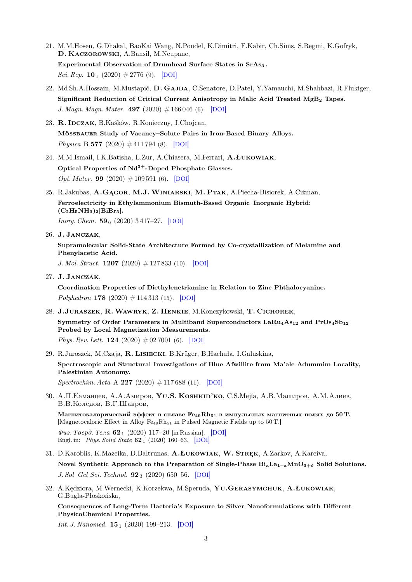- 21. M.M.Hosen, G.Dhakal, BaoKai Wang, N.Poudel, K.Dimitri, F.Kabir, Ch.Sims, S.Regmi, K.Gofryk, D. Kaczorowski, A.Bansil, M.Neupane, Experimental Observation of Drumhead Surface States in SrAs3. Sci. Rep. 10<sub>1</sub> (2020)  $\#2776$  (9). [[DOI](https://dx.doi.org/10.1038/s41598-020-59200-2)]
- 22. Md Sh.A.Hossain, M.Mustapić, D. GAJDA, C.Senatore, D.Patel, Y.Yamauchi, M.Shahbazi, R.Flukiger, Significant Reduction of Critical Current Anisotropy in Malic Acid Treated MgB<sup>2</sup> Tapes. J. Magn. Magn. Mater. 497 (2020)  $\#166\,046$  (6). [[DOI](https://dx.doi.org/10.1016/j.jmmm.2019.166046)]
- 23. R. IDCZAK, B.Kaśków, R.Konieczny, J.Chojcan, Mössbauer Study of Vacancy–Solute Pairs in Iron-Based Binary Alloys. Physica B 577 (2020)  $\#$  411 794 (8). [[DOI](https://dx.doi.org/10.1016/j.physb.2019.411794)]
- 24. M.M.Ismail, I.K.Batisha, L.Zur, A.Chiasera, M.Ferrari, A.Łukowiak, Optical Properties of  $Nd^{3+}$ -Doped Phosphate Glasses. Opt. Mater. **99** (2020)  $\# 109\,591$  (6). [[DOI](https://dx.doi.org/10.1016/j.optmat.2019.109591)]
- 25. R.Jakubas, A.Gągor, M.J.Winiarski, M. Ptak, A.Piecha-Bisiorek, A.Ciżman, Ferroelectricity in Ethylammonium Bismuth-Based Organic–Inorganic Hybrid:  $(C_2H_5NH_3)_2[BiBr_5].$

*Inorg. Chem.*  $59_6$  (2020) 3417-27. [[DOI](https://dx.doi.org/10.1021/acs.inorgchem.9b03193)]

26. J. Janczak,

Supramolecular Solid-State Architecture Formed by Co-crystallization of Melamine and Phenylacetic Acid.

J. Mol. Struct. 1207 (2020)  $\#$  127 833 (10). [[DOI](https://dx.doi.org/10.1016/j.molstruc.2020.127833)]

27. J. Janczak,

Coordination Properties of Diethylenetriamine in Relation to Zinc Phthalocyanine. Polyhedron 178 (2020)  $\#$  114 313 (15). [[DOI](https://dx.doi.org/10.1016/j.poly.2019.114313)]

28. J.Juraszek, R.Wawryk, Z. Henkie, M.Konczykowski, T. Cichorek,

Symmetry of Order Parameters in Multiband Superconductors  $\text{LaRu}_4\text{As}_{12}$  and  $\text{ProSaSh}_{12}$ Probed by Local Magnetization Measurements.

Phys. Rev. Lett. **124** (2020)  $\#027001$  (6). [[DOI](https://dx.doi.org/10.1103/PhysRevLett.124.027001)]

- 29. R.Juroszek, M.Czaja, R. Lisiecki, B.Krüger, B.Hachuła, I.Galuskina, Spectroscopic and Structural Investigations of Blue Afwillite from Ma'ale Adummim Locality, Palestinian Autonomy.  $Spectrochim. Acta \, A \, 227 \, (2020) \, \# \, 117688 \, (11). \, [DOI]$  $Spectrochim. Acta \, A \, 227 \, (2020) \, \# \, 117688 \, (11). \, [DOI]$  $Spectrochim. Acta \, A \, 227 \, (2020) \, \# \, 117688 \, (11). \, [DOI]$
- 30. A.II. Kamahueb, A.A.Amiroob, Yu.S. Koshkid'ko, C.S.Mejía, A.B.Mamiroob, A.M.Ajueb, В.В.Коледов, В.Г.Шавров,

Магнитокалорический эффект в сплаве  $Fe_{49}Rh_{51}$  в импульсных магнитных полях до 50 Т. [Magnetocaloric Effect in Alloy Fe<sub>49</sub>Rh<sub>51</sub> in Pulsed Magnetic Fields up to 50 T.]

 $\Phi u$ з. Тверд. Тела 62<sub>1</sub> (2020) 117–20 [in Russian]. [[DOI](https://dx.doi.org/10.21883/FTT.2020.01.48747.492)] Engl. in: Phys. Solid State  $62_1$  (2020) 160–63. [[DOI](https://dx.doi.org/10.1134/S1063783420010151)]

- 31. D.Karoblis, K.Mazeika, D.Baltrunas, A.ŁUKOWIAK, W. STREK, A.Zarkov, A.Kareiva, Novel Synthetic Approach to the Preparation of Single-Phase  $Bi_xLa_{1-x}MnO_{3+\delta}$  Solid Solutions. J. Sol–Gel Sci. Technol.  $92_3$  (2020) 650–56. [[DOI](https://dx.doi.org/10.1007/s10971-019-05098-w)]
- 32. A.Kędziora, M.Wernecki, K.Korzekwa, M.Speruda, Yu.Gerasymchuk, A.Łukowiak, G.Bugla-Płoskońska,

Consequences of Long-Term Bacteria's Exposure to Silver Nanoformulations with Different PhysicoChemical Properties.

*Int. J. Nanomed.*  $15_1$  (2020) 199-213. [[DOI](https://dx.doi.org/10.2147/IJN.S208838)]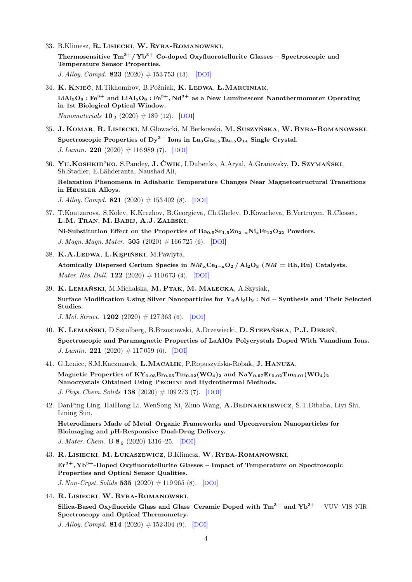- 33. B.Klimesz, R. Lisiecki, W. Ryba-Romanowski, Thermosensitive  $\text{Tm}^{3+}/\text{Yb}^{3+}$  Co-doped Oxyfluorotellurite Glasses – Spectroscopic and Temperature Sensor Properties. J. Alloy. Compd. 823 (2020)  $\#$  153 753 (13). [[DOI](https://dx.doi.org/10.1016/j.jallcom.2020.153753)]
- 34. K. KNIEĆ, M.Tikhomirov, B.Poźniak, K. LEDWA, Ł. MARCINIAK,  $LiAl<sub>5</sub>O<sub>8</sub>$ : Fe<sup>3+</sup> and  $LiAl<sub>5</sub>O<sub>8</sub>$ : Fe<sup>3+</sup>, Nd<sup>3+</sup> as a New Luminescent Nanothermometer Operating in 1st Biological Optical Window. *Nanomaterials*  $10_2 (2020) \# 189 (12)$ . [[DOI](https://dx.doi.org/10.3390/nano10020189)]
- 35. J. Komar, R. Lisiecki, M.Głowacki, M.Berkowski, M. Suszyńska, W. Ryba-Romanowski, Spectroscopic Properties of  $Dy^{3+}$  Ions in La<sub>3</sub>Ga<sub>5.5</sub>Ta<sub>0.5</sub>O<sub>14</sub> Single Crystal. J. Lumin. 220 (2020)  $\#$  116 989 (7). [[DOI](https://dx.doi.org/10.1016/j.jlumin.2019.116989)]
- 36. Yu.Koshkid'ko, S.Pandey, J. Ćwik, I.Dubenko, A.Aryal, A.Granovsky, D. Szymański, Sh.Stadler, E.Lähderanta, Naushad Ali,

Relaxation Phenomena in Adiabatic Temperature Changes Near Magnetostructural Transitions in Heusler Alloys.

J. Alloy. Compd. 821 (2020)  $\#$  153 402 (8). [[DOI](https://dx.doi.org/10.1016/j.jallcom.2019.153402)]

- 37. T.Koutzarova, S.Kolev, K.Krezhov, B.Georgieva, Ch.Ghelev, D.Kovacheva, B.Vertruyen, R.Closset, L.M. Tran, M. Babij, A.J. Zaleski, Ni-Substitution Effect on the Properties of  $Ba_{0.5}Sr_{1.5}Zn_{2-x}Ni_xFe_{12}O_{22}$  Powders. J. Magn. Magn. Mater. 505 (2020)  $\#166725$  (6). [[DOI](https://dx.doi.org/10.1016/j.jmmm.2020.166725)]
- 38. K.A.Ledwa, L.Kępiński, M.Pawlyta,

Atomically Dispersed Cerium Species in  $NM_xCe_{1-x}O_2/Al_2O_3$  ( $NM = Rh, Ru$ ) Catalysts. *Mater. Res. Bull.* **122** (2020)  $\# 110673$  (4). [[DOI](https://dx.doi.org/10.1016/j.materresbull.2019.110673)]

39. K. Lemański, M.Michalska, M. Ptak, M. Małecka, A.Szysiak, Surface Modification Using Silver Nanoparticles for  $Y_4Al_2O_9$ : Nd – Synthesis and Their Selected Studies. J. Mol. Struct. 1202 (2020)  $\#$  127 363 (6). [[DOI](https://dx.doi.org/10.10.1016/j.molstruc.2019.127363)]

40. K. Lemański, D.Sztolberg, B.Brzostowski, A.Drzewiecki, D. Stefańska, P.J. Dereń, Spectroscopic and Paramagnetic Properties of LaAlO<sub>3</sub> Polycrystals Doped With Vanadium Ions.

J. Lumin. 221 (2020)  $\#$  117 059 (6). [[DOI](https://dx.doi.org/10.1016/j.jlumin.2020.117059)]

- 41. G.Leniec, S.M.Kaczmarek, L.Macalik, P.Ropuszyńska-Robak, J. Hanuza, Magnetic Properties of  $KY_{0.93}Er_{0.05}Tm_{0.02}(WO_4)_2$  and  $NaY_{0.97}Er_{0.02}Tm_{0.01}(WO_4)_2$ Nanocrystals Obtained Using Pechini and Hydrothermal Methods. J. Phys. Chem. Solids 138 (2020)  $\# 109\,273$  (7). [[DOI](https://dx.doi.org/10.1016/j.jpcs.2019.109273)]
- 42. DanPing Ling, HaiHong Li, WenSong Xi, Zhuo Wang, A.BEDNARKIEWICZ, S.T.Dibaba, Liyi Shi, Lining Sun,

Heterodimers Made of Metal–Organic Frameworks and Upconversion Nanoparticles for Bioimaging and pH-Responsive Dual-Drug Delivery. J. Mater. Chem. B  $86$  (2020) 1316-25. [[DOI](https://dx.doi.org/10.1039/C9TB02753J)]

- 43. R. Lisiecki, M. Łukaszewicz, B.Klimesz, W. Ryba-Romanowski,  $Er<sup>3+</sup>, Yb<sup>3+</sup>$ -Doped Oxyfluorotellurite Glasses – Impact of Temperature on Spectroscopic Properties and Optical Sensor Qualities. J. Non-Cryst. Solids 535 (2020)  $\#$  119 965 (8). [[DOI](https://dx.doi.org/10.1016/j.jnoncrysol.2020.119965)]
- 44. R. Lisiecki, W. Ryba-Romanowski,

Silica-Based Oxyfluoride Glass and Glass–Ceramic Doped with  $Tm^{3+}$  and  $Yb^{3+}$  – VUV–VIS–NIR Spectroscopy and Optical Thermometry.

J. Alloy. Compd. 814 (2020)  $\#$  152 304 (9). [[DOI](https://dx.doi.org/10.1016/j.jallcom.2019.152304)]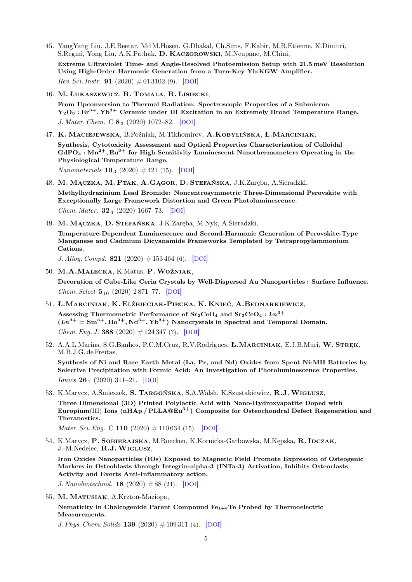- 45. YangYang Liu, J.E.Beetar, Md M.Hosen, G.Dhakal, Ch.Sims, F.Kabir, M.B.Etienne, K.Dimitri, S.Regmi, Yong Liu, A.K.Pathak, D. Kaczorowski, M.Neupane, M.Chini, Extreme Ultraviolet Time- and Angle-Resolved Photoemission Setup with 21.5 meV Resolution Using High-Order Harmonic Generation from a Turn-Key Yb:KGW Amplifier. *Rev. Sci. Instr.* **91** (2020)  $\#$  01 3102 (9). [[DOI](https://dx.doi.org/10.1063/1.5121425)]
- 46. M. Łukaszewicz, R. Tomala, R. Lisiecki,

From Upconversion to Thermal Radiation: Spectroscopic Properties of a Submicron  $Y_2O_3: Er^{3+}$ ,  $Yb^{3+}$  Ceramic under IR Excitation in an Extremely Broad Temperature Range. J. Mater. Chem. C  $\mathbf{8}_3$  (2020) 1072–82. [[DOI](https://dx.doi.org/10.1039/C9TC05799D)]

47. K. Maciejewska, B.Poźniak, M.Tikhomirov, A.Kobylińska, Ł.Marciniak,

Synthesis, Cytotoxicity Assessment and Optical Properties Characterization of Colloidal  $GdPO<sub>4</sub>: Mn<sup>2+</sup>, Eu<sup>3+</sup>$  for High Sensitivity Luminescent Nanothermometers Operating in the Physiological Temperature Range.

*Nanomaterials*  $10_3$  (2020)  $\#$  421 (15). [[DOI](https://dx.doi.org/10.3390/nano10030421)]

48. M. Mączka, M. Ptak, A.Gągor, D. Stefańska, J.K.Zaręba, A.Sieradzki,

Methylhydrazinium Lead Bromide: Noncentrosymmetric Three-Dimensional Perovskite with Exceptionally Large Framework Distortion and Green Photoluminescence. Chem. Mater.  $32_4$  (2020) 1667–73. [[DOI](https://dx.doi.org/10.1021/acs.chemmater.9b05273)]

49. M. Mączka, D. Stefańska, J.K.Zaręba, M.Nyk, A.Sieradzki,

Temperature-Dependent Luminescence and Second-Harmonic Generation of Perovskite-Type Manganese and Cadmium Dicyanamide Frameworks Templated by Tetrapropylammonium Cations.

J. Alloy. Compd. 821  $(2020)$  # 153 464 (6). [[DOI](https://dx.doi.org/10.1016/j.jallcom.2019.153464)]

- 50. M.A.Małecka, K.Matus, P.Woźniak, Decoration of Cube-Like Ceria Crystals by Well-Dispersed Au Nanoparticles : Surface Influence. Chem. Select 5<sup>10</sup> (2020) 2 871–77. [[DOI](https://dx.doi.org/10.1002/slct.202000098)]
- 51. Ł.Marciniak, K. Elżbieciak-Piecka, K. Knieć, A.Bednarkiewicz, Assessing Thermometric Performance of  $Sr_2CeO_4$  and  $Sr_2CeO_4$ :  $Ln^{3+}$

 $(Ln^{3+} = Sm^{3+}, Ho^{3+}, Nd^{3+}, Yb^{3+})$  Nanocrystals in Spectral and Temporal Domain. *Chem. Eng. J.* 388 (2020)  $\#$  124 347 (?). [[DOI](https://dx.doi.org/10.1016/j.cej.2020.124347)]

52. A.A.L.Marins, S.G.Banhos, P.C.M.Cruz, R.V.Rodrigues, Ł.MARCINIAK, E.J.B.Muri, W. STREK, M.B.J.G. de Freitas,

Synthesis of Ni and Rare Earth Metal (La, Pr, and Nd) Oxides from Spent Ni-MH Batteries by Selective Precipitation with Formic Acid: An Investigation of Photoluminescence Properties. *Ionics* **26**<sub>1</sub> (2020) 311–21. [[DOI](https://dx.doi.org/10.1007/s11581-019-03158-3)]

53. K.Marycz, A.Śmieszek, S. Targońska, S.A.Walsh, K.Szustakiewicz, R.J.Wiglusz,

Three Dimensional (3D) Printed Polylactic Acid with Nano-Hydroxyapatite Doped with Europium(III) Ions (nHAp /  $PLLA@Eu<sup>3+</sup>$ ) Composite for Osteochondral Defect Regeneration and Theranostics.

*Mater. Sci. Eng.* C **110** (2020)  $\# 110\,634$  (15). [[DOI](https://dx.doi.org/10.1016/j.msec.2020.110634)]

54. K.Marycz, P. SOBIERAJSKA, M.Roecken, K.Kornicka-Garbowska, M.Kępska, R. IDCZAK, J.-M.Nedelec, R.J.Wiglusz,

Iron Oxides Nanoparticles (IOs) Exposed to Magnetic Field Promote Expression of Osteogenic Markers in Osteoblasts through Integrin-alpha-3 (INTa-3) Activation, Inhibits Osteoclasts Activity and Exerts Anti-Inflammatory action.

J. Nanobiotechnol. **18** (2020)  $\# 88$  (24). [[DOI](https://dx.doi.org/10.1186/s12951-020-00590-w)]

55. M. Matusiak, A.Krztoń-Maziopa,

Nematicity in Chalcogenide Parent Compound  $Fe_{1+y}Te$  Probed by Thermoelectric Measurements.

J. Phys. Chem. Solids 139  $(2020)$  # 109 311 (4). [[DOI](https://dx.doi.org/10.1016/j.jpcs.2019.109311)]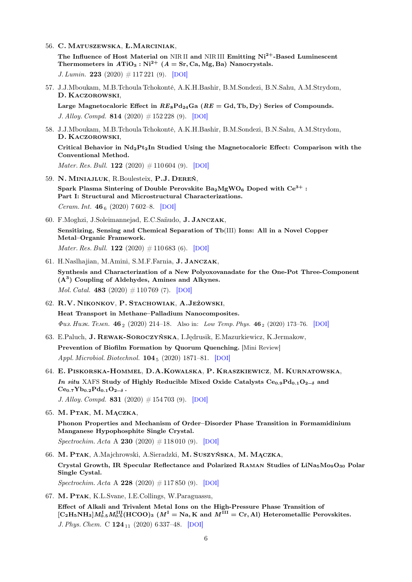- 56. C. Matuszewska, Ł.Marciniak, The Influence of Host Material on NIRII and NIRIII Emitting  $Ni^{2+}$ -Based Luminescent Thermometers in  $ATiO_3$ :  $Ni^{2+}$   $(A = Sr, Ca, Mg, Ba)$  Nanocrystals. J. Lumin. 223 (2020)  $\#$  117 221 (9). [[DOI](https://dx.doi.org/10.1016/j.jlumin.2020.117221)]
- 57. J.J.Mboukam, M.B.Tchoula Tchokonté, A.K.H.Bashir, B.M.Sondezi, B.N.Sahu, A.M.Strydom, D. Kaczorowski,

Large Magnetocaloric Effect in  $RE_8Pd_{24}Ga$  ( $RE = Gd$ , Tb, Dy) Series of Compounds. J. Alloy. Compd. 814 (2020)  $\#$  152 228 (9). [[DOI](https://dx.doi.org/10.1016/j.jallcom.2019.152228)]

58. J.J.Mboukam, M.B.Tchoula Tchokonté, A.K.H.Bashir, B.M.Sondezi, B.N.Sahu, A.M.Strydom, D. Kaczorowski,

Critical Behavior in  $Nd_2Pt_2In$  Studied Using the Magnetocaloric Effect: Comparison with the Conventional Method.

*Mater. Res. Bull.* **122** (2020)  $\# 110\,604$  (9). [[DOI](https://dx.doi.org/10.1016/j.materresbull.2019.110604)]

- 59. N. Miniajluk, R.Boulesteix, P.J. Dereń, Spark Plasma Sintering of Double Perovskite  $Ba_2MgWO_6$  Doped with  $Ce^{3+}$ : Part I: Structural and Microstructural Characterizations. Ceram. Int.  $46_6$  (2020) 7602–8. [[DOI](https://dx.doi.org/10.1016/j.ceramint.2019.11.260)]
- 60. F.Moghzi, J.Soleimannejad, E.C.Sañudo, J. Janczak, Sensitizing, Sensing and Chemical Separation of Tb(III) Ions: All in a Novel Copper

Metal–Organic Framework.

*Mater. Res. Bull.* **122** (2020)  $\# 110\,683$  (6). [[DOI](https://dx.doi.org/10.1016/j.materresbull.2019.110683)]

- 61. H.Naslhajian, M.Amini, S.M.F.Farnia, J. Janczak, Synthesis and Characterization of a New Polyoxovanadate for the One-Pot Three-Component  $(A<sup>3</sup>)$  Coupling of Aldehydes, Amines and Alkynes. *Mol. Catal.* 483 (2020)  $\#110\,769$  (7). [[DOI](https://dx.doi.org/10.1016/j.mcat.2020.110769)]
- 62. R.V. Nikonkov, P. Stachowiak, A.Jeżowski, Heat Transport in Methane–Palladium Nanocomposites.  $\Phi u$ s. Husk. Temp. 46<sub>2</sub> (2020) 214–18. Also in: Low Temp. Phys. 46  $_2$  (2020) 173–76. [[DOI](https://dx.doi.org/10.1063/10.0000536)]
- 63. E.Paluch, J. Rewak-Soroczyńska, I.Jędrusik, E.Mazurkiewicz, K.Jermakow, Prevention of Biofilm Formation by Quorum Quenching. [Mini Review] Appl. Microbiol. Biotechnol. **104**<sub>5</sub> (2020) 1871–81. [[DOI](https://dx.doi.org/10.1007/s00253-020-10349-w)]
- 64. E. Piskorska-Hommel, D.A.Kowalska, P. Kraszkiewicz, M. Kurnatowska, In situ XAFS Study of Highly Reducible Mixed Oxide Catalysts Ce<sub>0.9</sub>Pd<sub>0.1</sub>O<sub>2−δ</sub> and  $Ce_{0.7}Yb_{0.2}Pd_{0.1}O_{2-\delta}$ . J. Alloy. Compd. 831 (2020)  $\#$  154 703 (9). [[DOI](https://dx.doi.org/10.1016/j.jallcom.2020.154703)]

65. M. Ptak, M. Mączka,

Phonon Properties and Mechanism of Order–Disorder Phase Transition in Formamidinium Manganese Hypophosphite Single Crystal.

- $Spectrochim. Acta A 230 (2020) # 118010 (9). [DOI]$  $Spectrochim. Acta A 230 (2020) # 118010 (9). [DOI]$  $Spectrochim. Acta A 230 (2020) # 118010 (9). [DOI]$
- 66. M. Ptak, A.Majchrowski, A.Sieradzki, M. Suszyńska, M. Mączka, Crystal Growth, IR Specular Reflectance and Polarized Raman Studies of LiNa5Mo9O<sup>30</sup> Polar Single Cystal. Spectrochim. Acta A 228 (2020)  $\#$  117 850 (9). [[DOI](https://dx.doi.org/10.1016/j.saa.2019.117850)]
- 67. M. Ptak, K.L.Svane, I.E.Collings, W.Paraguassu, Effect of Alkali and Trivalent Metal Ions on the High-Pressure Phase Transition of  $[C_2H_5NH_3]M_{0.5}^I M_{0.5}^{III}(HCOO)_3\,\,(M^{\rm I}=N{\rm a},K\,\,{\rm and}\,\,M^{\rm III}=C{\rm r}, {\rm Al})\,\,{\rm Hetermetallic\,\,Perovskites}.$ J. Phys. Chem. C 124<sub>11</sub> (2020) 6 337-48. [[DOI](https://dx.doi.org/10.1021/acs.jpcc.0c00372)]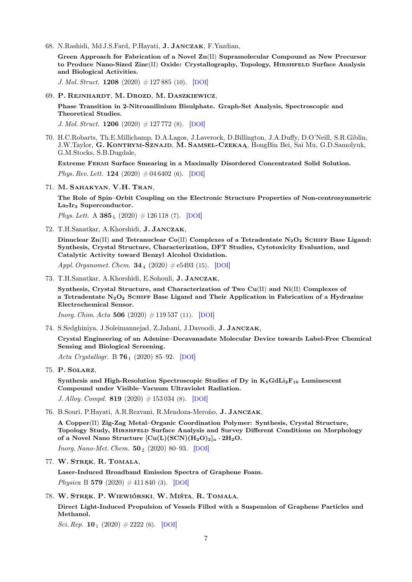68. N.Rashidi, Md J.S.Fard, P.Hayati, J. Janczak, F.Yazdian,

Green Approach for Fabrication of a Novel  $\text{Zn}(II)$  Supramolecular Compound as New Precursor to Produce Nano-Sized Zinc(II) Oxide: Crystallography, Topology, HIRSHFELD Surface Analysis and Biological Activities.

J. Mol. Struct. 1208 (2020)  $\#$  127 885 (10). [[DOI](https://dx.doi.org/10.1016/j.molstruc.2020.127885)]

69. P. Rejnhardt, M. Drozd, M. Daszkiewicz,

Phase Transition in 2-Nitroanilinium Bisulphate. Graph-Set Analysis, Spectroscopic and Theoretical Studies.

J. Mol. Struct. 1206 (2020)  $\#$  127 772 (8). [[DOI](https://dx.doi.org/10.1016/j.molstruc.2020.127772)]

70. H.C.Robarts, Th.E.Millichamp, D.A.Lagos, J.Laverock, D.Billington, J.A.Duffy, D.O'Neill, S.R.Giblin, J.W.Taylor, G. Kontrym-Sznajd, M. Samsel-Czekaą, HongBin Bei, Sai Mu, G.D.Samolyuk, G.M.Stocks, S.B.Dugdale,

Extreme Fermi Surface Smearing in a Maximally Disordered Concentrated Solid Solution.

Phys. Rev. Lett. **124** (2020)  $\#04\,6402$  (6). [[DOI](https://dx.doi.org/10.1103/PhysRevLett.124.046402)]

71. M. Sahakyan, V.H. Tran,

The Role of Spin–Orbit Coupling on the Electronic Structure Properties of Non-centrosymmetric La<sub>7</sub>Ir<sub>3</sub> Superconductor.

Phys. Lett. A  $385_5$  (2020)  $\#126118$  (7). [[DOI](https://dx.doi.org/10.1016/j.physleta.2019.126118)]

72. T.H.Sanatkar, A.Khorshidi, J. Janczak,

Dinuclear  $Zn(II)$  and Tetranuclear Co(II) Complexes of a Tetradentate N<sub>2</sub>O<sub>2</sub> SCHIFF Base Ligand: Synthesis, Crystal Structure, Characterization, DFT Studies, Cytotoxicity Evaluation, and Catalytic Activity toward Benzyl Alcohol Oxidation.

Appl. Organomet. Chem.  $34_4$  (2020)  $\#e5493$  (15). [[DOI](https://dx.doi.org/10.1002/aoc.5493)]

73. T.H.Sanatkar, A.Khorshidi, E.Sohouli, J. Janczak,

Synthesis, Crystal Structure, and Characterization of Two Cu(II) and Ni(II) Complexes of a Tetradentate  $N_2O_2$  SCHIFF Base Ligand and Their Application in Fabrication of a Hydrazine Electrochemical Sensor.

*Inorg. Chim. Acta* 506 (2020)  $\#119\,537$  (11). [[DOI](https://dx.doi.org/10.1016/j.ica.2020.119537)]

74. S.Sedghiniya, J.Soleimannejad, Z.Jahani, J.Davoodi, J. Janczak,

Crystal Engineering of an Adenine–Decavanadate Molecular Device towards Label-Free Chemical Sensing and Biological Screening.

Acta Crystallogr. B  $76_1$  (2020) 85–92. [[DOI](https://dx.doi.org/10.1107/S2052520619016196)]

75. P. Solarz,

Synthesis and High-Resolution Spectroscopic Studies of Dy in  $K_5GdLi_2F_{10}$  Luminescent Compound under Visible–Vacuum Ultraviolet Radiation.

J. Alloy. Compd. 819 (2020)  $\#$  153 034 (8). [[DOI](https://dx.doi.org/10.1016/j.jallcom.2019.153034)]

76. B.Souri, P.Hayati, A.R.Rezvani, R.Mendoza-Meroño, J. Janczak,

A Copper(II) Zig-Zag Metal–Organic Coordination Polymer: Synthesis, Crystal Structure, Topology Study, Hirshfeld Surface Analysis and Survey Different Conditions on Morphology of a Novel Nano Structure  $\lbrack Cu(L)(SCN)(H_2O)_2 \rbrack_n \cdot 2H_2O.$ 

*Inorg. Nano-Met. Chem.*  $50_2$  (2020) 80–93. [[DOI](https://dx.doi.org/10.1080/24701556.2019.1662040)]

77. W. STREK, R. TOMALA,

Laser-Induced Broadband Emission Spectra of Graphene Foam.

*Physica* B 579 (2020)  $\#$  411 840 (3). [[DOI](https://dx.doi.org/10.1016/j.physb.2019.411840)]

78. W. Stręk, P.Wiewiórski, W. Miśta, R. Tomala,

Direct Light-Induced Propulsion of Vessels Filled with a Suspension of Graphene Particles and **Methanol** 

Sci. Rep. 10<sub>1</sub> (2020)  $\#$  2222 (6). [[DOI](https://dx.doi.org/10.1038/s41598-020-59123-y)]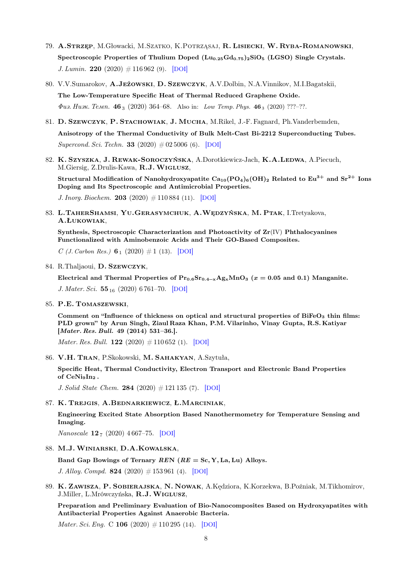- 79. A.Strzęp, M.Głowacki, M.Szatko, K.Potrząsaj, R. Lisiecki, W. Ryba-Romanowski, Spectroscopic Properties of Thulium Doped  $(Lu_{0.25}Gd_{0.75})_2SiO_5$  (LGSO) Single Crystals. J. Lumin. 220 (2020)  $\#$  116 962 (9). [[DOI](https://dx.doi.org/10.1016/j.jlumin.2019.116962)]
- 80. V.V.Sumarokov, A.Jeżowski, D. Szewczyk, A.V.Dolbin, N.A.Vinnikov, M.I.Bagatskii, The Low-Temperature Specific Heat of Thermal Reduced Graphene Oxide.  $\Phi u$ з. Низк. Темп. 46<sub>3</sub> (2020) 364–68. Also in: Low Temp. Phys. 46<sub>3</sub> (2020) ???–??.
- 81. D. Szewczyk, P. Stachowiak, J. Mucha, M.Rikel, J.-F. Fagnard, Ph.Vanderbemden, Anisotropy of the Thermal Conductivity of Bulk Melt-Cast Bi-2212 Superconducting Tubes. Supercond. Sci. Techn. **33** (2020)  $\#02\,5006$  (6). [[DOI](https://dx.doi.org/10.1088/1361-6668/ab601c)]
- 82. K. SZYSZKA, J. REWAK-SOROCZYŃSKA, A.Dorotkiewicz-Jach, K.A.LEDWA, A.Piecuch, M.Giersig, Z.Drulis-Kawa, R.J.Wiglusz,

Structural Modification of Nanohydroxyapatite  $Ca_{10}(PO_4)_6(OH)_2$  Related to  $Eu^{3+}$  and  $Sr^{2+}$  Ions Doping and Its Spectroscopic and Antimicrobial Properties.

J. Inorg. Biochem. 203 (2020)  $\#110\,884$  (11). [[DOI](https://dx.doi.org/10.1016/j.jinorgbio.2019.110884)]

83. L.TAHERSHAMSI, YU.GERASYMCHUK, A.WĘDZYŃSKA, M. PTAK, I.Tretyakova, A.Łukowiak,

Synthesis, Spectroscopic Characterization and Photoactivity of  $\mathbf{Zr}(\mathrm{IV})$  Phthalocyanines Functionalized with Aminobenzoic Acids and Their GO-Based Composites.

C (*J. Carbon Res.*)  $6_1$  (2020)  $\#1$  (13). [[DOI](https://dx.doi.org/10.3390/c6010001)]

84. R.Thaljaoui, D. Szewczyk,

Electrical and Thermal Properties of  $Pr_{0.6}Sr_{0.4-x}Ag_xMnO_3$  ( $x = 0.05$  and 0.1) Manganite. J. Mater. Sci. 55<sub>16</sub> (2020) 6 761–70. [[DOI](https://dx.doi.org/10.1007/s10853-020-04484-y)]

85. P.E. Tomaszewski,

Comment on "Influence of thickness on optical and structural properties of BiFe $O<sub>3</sub>$  thin films: PLD grown" by Arun Singh, Ziaul Raza Khan, P.M. Vilarinho, Vinay Gupta, R.S. Katiyar [Mater. Res. Bull. 49 (2014) 531–36.].

*Mater. Res. Bull.* **122** (2020)  $\# 110\,652$  (1). [[DOI](https://dx.doi.org/10.1016/j.materresbull.2019.110652)]

86. V.H. Tran, P.Skokowski, M. Sahakyan, A.Szytuła,

Specific Heat, Thermal Conductivity, Electron Transport and Electronic Band Properties of CeNioIn<sub>2</sub>.

J. Solid State Chem. 284 (2020)  $\#$  121 135 (7). [[DOI](https://dx.doi.org/10.1016/j.jssc.2019.121135)]

87. K. Trejgis, A.Bednarkiewicz, Ł.Marciniak,

Engineering Excited State Absorption Based Nanothermometry for Temperature Sensing and Imaging.

Nanoscale  $12_7$  (2020) 4667–75. [[DOI](https://dx.doi.org/10.1039/C9NR09740F)]

88. M.J.Winiarski, D.A.Kowalska,

Band Gap Bowings of Ternary  $REN$  ( $RE = Sc, Y, La, Lu$ ) Alloys.

J. Alloy. Compd. 824 (2020)  $\#$  153 961 (4). [[DOI](https://dx.doi.org/10.1016/j.jallcom.2019.153961)]

89. K. Zawisza, P. Sobierajska, N. Nowak, A.Kędziora, K.Korzekwa, B.Poźniak, M.Tikhomirov, J.Miller, L.Mrówczyńska, R.J.Wiglusz,

Preparation and Preliminary Evaluation of Bio-Nanocomposites Based on Hydroxyapatites with Antibacterial Properties Against Anaerobic Bacteria.

*Mater. Sci. Eng.* C **106** (2020)  $\# 110\,295$  (14). [[DOI](https://dx.doi.org/10.1016/j.msec.2019.110295)]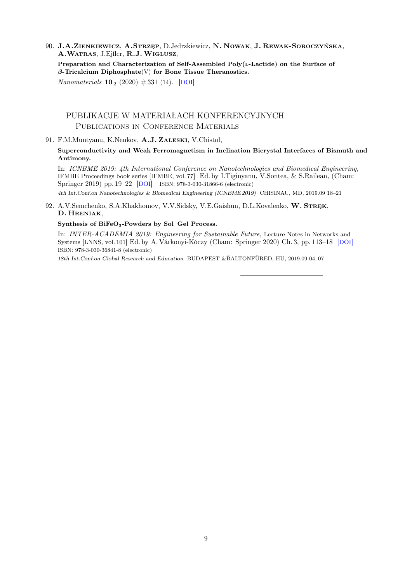90. J.A.Zienkiewicz, A.Strzęp, D.Jedrzkiewicz, N. Nowak, J. Rewak-Soroczyńska, A.Watras, J.Ejfler, R.J.Wiglusz,

Preparation and Characterization of Self-Assembled Poly(L-Lactide) on the Surface of  $\beta$ -Tricalcium Diphosphate(V) for Bone Tissue Theranostics.

*Nanomaterials*  $10_2$  (2020)  $\# 331$  (14). [[DOI](https://dx.doi.org/10.3390/nano10020331)]

#### PUBLIKACJE W MATERIAŁACH KONFERENCYJNYCH PUBLICATIONS IN CONFERENCE MATERIALS

91. F.M.Muntyanu, K.Nenkov, A.J. Zaleski, V.Chistol,

Superconductivity and Weak Ferromagnetism in Inclination Bicrystal Interfaces of Bismuth and Antimony.

In: ICNBME 2019: 4th International Conference on Nanotechnologies and Biomedical Engineering, IFMBE Proceedings book series [IFMBE, vol. 77] Ed. by I.Tiginyanu, V.Sontea, & S.Railean, (Cham: Springer 2019) pp. 19–22 [[DOI](https://dx.doi.org/10.1007/978-3-030-31866-6_4)] ISBN: 978-3-030-31866-6 (electronic)

4th Int.Conf.on Nanotechnologies & Biomedical Engineering (ICNBME 2019) CHISINAU, MD, 2019.09 18–21

92. A.V.Semchenko, S.A.Khakhomov, V.V.Sidsky, V.E.Gaishun, D.L.Kovalenko, W. STREK, D. Hreniak,

#### Synthesis of BiFeO3-Powders by Sol–Gel Process.

In: INTER-ACADEMIA 2019: Engineering for Sustainable Future, Lecture Notes in Networks and Systems [LNNS, vol. 101] Ed. by A. Várkonyi-Kóczy (Cham: Springer 2020) Ch. 3, pp. 113–18 [[DOI](https://dx.doi.org/10.1007/978-3-030-36841-8_11)] ISBN: 978-3-030-36841-8 (electronic)

18th Int.Conf.on Global Research and Education BUDAPEST &BALTONFÜRED, HU, 2019.09 04-07